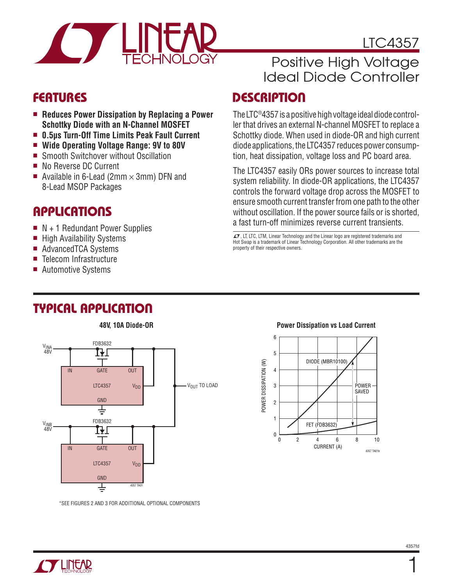

### LTC4357

## Positive High Voltage Ideal Diode Controller

#### **FEATURES**

- Reduces Power Dissipation by Replacing a Power **Schottky Diode with an N-Channel MOSFET**
- 0.5us Turn-Off Time Limits Peak Fault Current
- Wide Operating Voltage Range: 9V to 80V
- Smooth Switchover without Oscillation
- No Reverse DC Current
- Available in 6-Lead (2mm  $\times$  3mm) DFN and 8-Lead MSOP Packages

## Applications

- $\blacksquare$  N + 1 Redundant Power Supplies
- $\blacksquare$  High Availability Systems
- AdvancedTCA Systems
- Telecom Infrastructure
- Automotive Systems

## Typical Application



\*SEE FIGURES 2 AND 3 FOR ADDITIONAL OPTIONAL COMPONENTS

#### **DESCRIPTION**

The LTC®4357 is a positive high voltage ideal diode controller that drives an external N-channel MOSFET to replace a Schottky diode. When used in diode-OR and high current diode applications, the LTC4357 reduces power consumption, heat dissipation, voltage loss and PC board area.

The LTC4357 easily ORs power sources to increase total system reliability. In diode-OR applications, the LTC4357 controls the forward voltage drop across the MOSFET to ensure smooth current transfer from one path to the other without oscillation. If the power source fails or is shorted, a fast turn-off minimizes reverse current transients.

 $I$ , LT, LTC, LTM, Linear Technology and the Linear logo are registered trademarks and Hot Swap is a trademark of Linear Technology Corporation. All other trademarks are the property of their respective owners.



#### **Power Dissipation vs Load Current**



 $\mathbf{1}$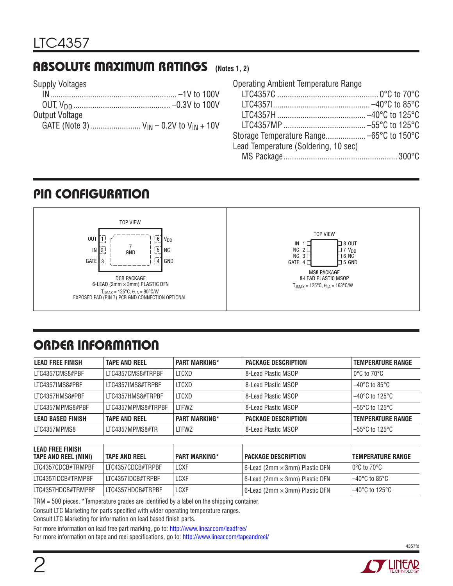#### Absolute Maximum Ratings **(Notes 1, 2)**

|  | <b>Supply Voltages</b> |
|--|------------------------|
|--|------------------------|

| Output Voltage                                  |  |
|-------------------------------------------------|--|
| GATE (Note 3) $V_{IN} - 0.2V$ to $V_{IN} + 10V$ |  |

| <b>Operating Ambient Temperature Range</b> |  |
|--------------------------------------------|--|
|                                            |  |
|                                            |  |
|                                            |  |
|                                            |  |
|                                            |  |
| Lead Temperature (Soldering, 10 sec)       |  |
|                                            |  |

#### pin Configuration



# ORDER INFORMATION

| <b>LEAD FREE FINISH</b>  | <b>TAPE AND REEL</b> | <b>PART MARKING*</b> | <b>PACKAGE DESCRIPTION</b> | <b>TEMPERATURE RANGE</b> |
|--------------------------|----------------------|----------------------|----------------------------|--------------------------|
| LTC4357CMS8#PBF          | LTC4357CMS8#TRPBF    | LTCXD                | 8-Lead Plastic MSOP        | ∣ 0°C to 70°C            |
| LTC4357IMS8#PBF          | LTC4357IMS8#TRPBF    | LTCXD                | l 8-Lead Plastic MSOP      | $-40^{\circ}$ C to 85°C  |
| LTC4357HMS8#PBF          | LTC4357HMS8#TRPBF    | LTCXD                | 8-Lead Plastic MSOP        | $-40^{\circ}$ C to 125°C |
| LTC4357MPMS8#PBF         | ITC4357MPMS8#TRPBF   | <b>LTFWZ</b>         | 8-Lead Plastic MSOP        | $-55^{\circ}$ C to 125°C |
| <b>LEAD BASED FINISH</b> | <b>TAPE AND REEL</b> | <b>PART MARKING*</b> | <b>PACKAGE DESCRIPTION</b> | <b>TEMPERATURE RANGE</b> |
| LTC4357MPMS8             | LTC4357MPMS8#TR      | <b>LTFWZ</b>         | 8-Lead Plastic MSOP        | $-55^{\circ}$ C to 125°C |

| <b>LEAD FREE FINISH</b><br>TAPE AND REEL (MINI) | <b>TAPE AND REEL</b> | <b>PART MARKING*</b> | <b>PACKAGE DESCRIPTION</b>                   | TEMPERATURE RANGE  |
|-------------------------------------------------|----------------------|----------------------|----------------------------------------------|--------------------|
| LTC4357CDCB#TRMPBF                              | 'LTC4357CDCB#TRPBF   | LCXF                 | l 6-Lead (2mm $\times$ 3mm) Plastic DFN $\,$ | l 0°C to 70°C l    |
| LTC4357IDCB#TRMPBF                              | LITC4357IDCB#TRPBF   | LCXF                 | l 6-Lead (2mm $\times$ 3mm) Plastic DFN $\,$ | l –40°C to 85°C l  |
| LTC4357HDCB#TRMPBF                              | LTC4357HDCB#TRPBF    | LCXF                 | 6-Lead (2mm $\times$ 3mm) Plastic DFN $\,$   | l –40°C to 125°C l |

TRM = 500 pieces. \*Temperature grades are identified by a label on the shipping container.

Consult LTC Marketing for parts specified with wider operating temperature ranges.

Consult LTC Marketing for information on lead based finish parts.

For more information on lead free part marking, go to: http://www.linear.com/leadfree/

For more information on tape and reel specifications, go to: http://www.linear.com/tapeandreel/



4357fd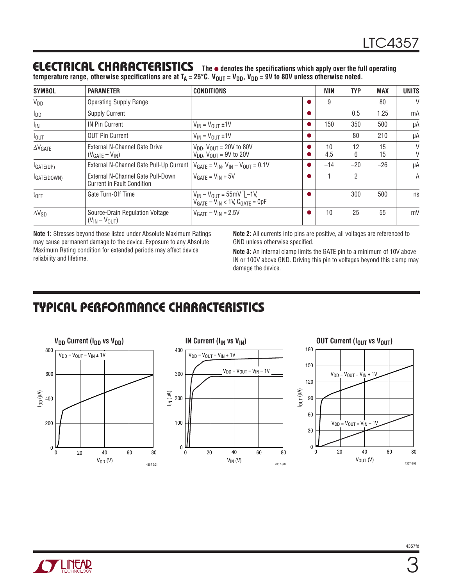#### **ELECTRICAL CHARACTERISTICS** The  $\bullet$  denotes the specifications which apply over the full operating

temperature range, otherwise specifications are at T<sub>A</sub> = 25°C. V<sub>OUT</sub> = V<sub>DD</sub>, V<sub>DD</sub> = 9V to 80V unless otherwise noted.

| <b>SYMBOL</b>         | <b>PARAMETER</b>                                                       | <b>CONDITIONS</b>                                                                        | <b>MIN</b> | <b>TYP</b> | <b>MAX</b> | UNITS  |
|-----------------------|------------------------------------------------------------------------|------------------------------------------------------------------------------------------|------------|------------|------------|--------|
| $V_{DD}$              | <b>Operating Supply Range</b>                                          |                                                                                          | 9          |            | 80         | $\vee$ |
| $I_{DD}$              | <b>Supply Current</b>                                                  |                                                                                          |            | 0.5        | 1.25       | mA     |
| $I_{IN}$              | <b>IN Pin Current</b>                                                  | $V_{IN} = V_{OUT} \pm 1V$                                                                | 150        | 350        | 500        | μA     |
| $I_{\text{OUT}}$      | <b>OUT Pin Current</b>                                                 | $V_{IN} = V_{OIII} \pm 1V$                                                               |            | 80         | 210        | μA     |
| $\Delta V_{GATE}$     | External N-Channel Gate Drive<br>$(V_{GATE} - V_{IN})$                 | $V_{DD}$ , $V_{OUT}$ = 20V to 80V<br>$V_{DD}$ , $V_{OIII}$ = 9V to 20V                   | 10<br>4.5  | 12<br>6    | 15<br>15   | V<br>V |
| I <sub>GATE(UP)</sub> | External N-Channel Gate Pull-Up Current                                | $V_{GATE} = V_{IN}$ , $V_{IN} - V_{OUT} = 0.1V$                                          | $-14$      | $-20$      | $-26$      | μA     |
| IGATE(DOWN)           | External N-Channel Gate Pull-Down<br><b>Current in Fault Condition</b> | $VGATF = VIN + 5V$                                                                       |            | 2          |            | A      |
| $t_{OFF}$             | Gate Turn-Off Time                                                     | $V_{IN} - V_{OUT} = 55mV$ <sup>-1V</sup> ,<br>$V_{GATE} - V_{IN}$ < 1V, $C_{GATE}$ = 0pF |            | 300        | 500        | ns     |
| $\Delta V_{SD}$       | Source-Drain Regulation Voltage<br>$(V_{IN} - V_{OUT})$                | $VGATF - VIN = 2.5V$                                                                     | 10         | 25         | 55         | mV     |

**Note 1:** Stresses beyond those listed under Absolute Maximum Ratings may cause permanent damage to the device. Exposure to any Absolute Maximum Rating condition for extended periods may affect device reliability and lifetime.

**Note 2:** All currents into pins are positive, all voltages are referenced to GND unless otherwise specified.

**Note 3:** An internal clamp limits the GATE pin to a minimum of 10V above IN or 100V above GND. Driving this pin to voltages beyond this clamp may damage the device.

## Typical Performance Characteristics



**TLINEAR** 

3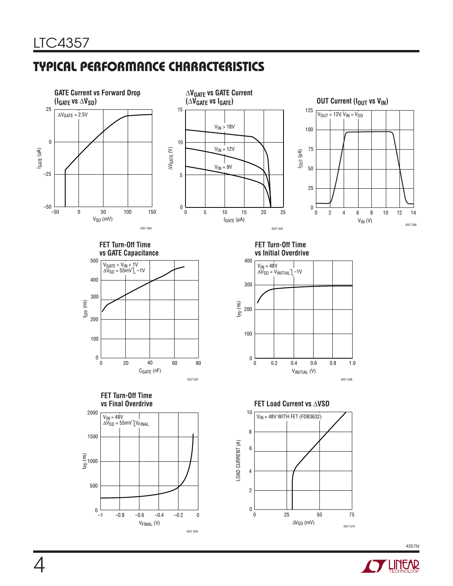## Typical Performance Characteristics



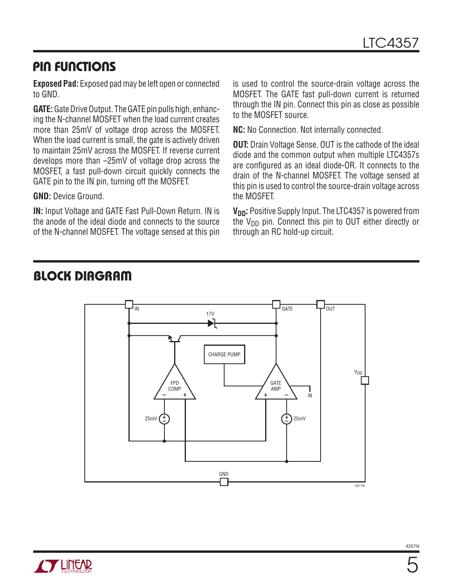#### Pin Functions

**Exposed Pad:** Exposed pad may be left open or connected to GND.

**GATE:** Gate Drive Output. The GATE pin pulls high, enhancing the N-channel MOSFET when the load current creates more than 25mV of voltage drop across the MOSFET. When the load current is small, the gate is actively driven to maintain 25mV across the MOSFET. If reverse current develops more than –25mV of voltage drop across the MOSFET, a fast pull-down circuit quickly connects the GATE pin to the IN pin, turning off the MOSFET.

**GND:** Device Ground.

**IN:** Input Voltage and GATE Fast Pull-Down Return. IN is the anode of the ideal diode and connects to the source of the N-channel MOSFET. The voltage sensed at this pin is used to control the source-drain voltage across the MOSFET. The GATE fast pull-down current is returned through the IN pin. Connect this pin as close as possible to the MOSFET source.

**NC:** No Connection. Not internally connected.

**OUT:** Drain Voltage Sense. OUT is the cathode of the ideal diode and the common output when multiple LTC4357s are configured as an ideal diode-OR. It connects to the drain of the N-channel MOSFET. The voltage sensed at this pin is used to control the source-drain voltage across the MOSFET.

**V<sub>DD</sub>:** Positive Supply Input. The LTC4357 is powered from the  $V_{DD}$  pin. Connect this pin to OUT either directly or through an RC hold-up circuit.



#### block diagram

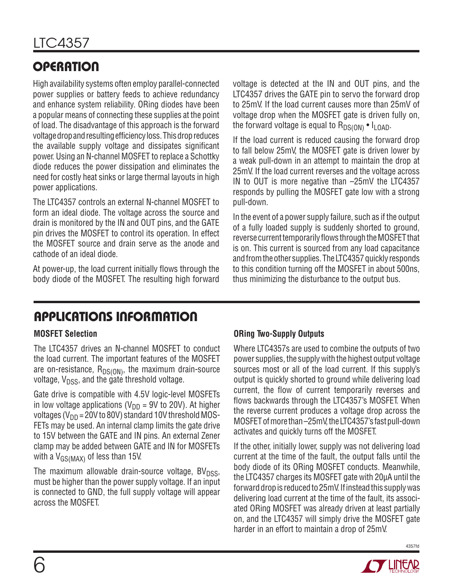# **OPERATION**

High availability systems often employ parallel-connected power supplies or battery feeds to achieve redundancy and enhance system reliability. ORing diodes have been a popular means of connecting these supplies at the point of load. The disadvantage of this approach is the forward voltage drop and resulting efficiency loss. This drop reduces the available supply voltage and dissipates significant power. Using an N-channel MOSFET to replace a Schottky diode reduces the power dissipation and eliminates the need for costly heat sinks or large thermal layouts in high power applications.

The LTC4357 controls an external N-channel MOSFET to form an ideal diode. The voltage across the source and drain is monitored by the IN and OUT pins, and the GATE pin drives the MOSFET to control its operation. In effect the MOSFET source and drain serve as the anode and cathode of an ideal diode.

At power-up, the load current initially flows through the body diode of the MOSFET. The resulting high forward voltage is detected at the IN and OUT pins, and the LTC4357 drives the GATE pin to servo the forward drop to 25mV. If the load current causes more than 25mV of voltage drop when the MOSFET gate is driven fully on, the forward voltage is equal to  $R_{DS(ON)} \cdot I_{LOAD}$ .

If the load current is reduced causing the forward drop to fall below 25mV, the MOSFET gate is driven lower by a weak pull-down in an attempt to maintain the drop at 25mV. If the load current reverses and the voltage across IN to OUT is more negative than –25mV the LTC4357 responds by pulling the MOSFET gate low with a strong pull-down.

In the event of a power supply failure, such as if the output of a fully loaded supply is suddenly shorted to ground, reverse current temporarily flows through the MOSFET that is on. This current is sourced from any load capacitance and from the other supplies. The LTC4357 quickly responds to this condition turning off the MOSFET in about 500ns, thus minimizing the disturbance to the output bus.

## Applications Information

#### **MOSFET Selection**

The LTC4357 drives an N-channel MOSFET to conduct the load current. The important features of the MOSFET are on-resistance,  $R_{DS(ON)}$ , the maximum drain-source voltage,  $V_{\text{DSS}}$ , and the gate threshold voltage.

Gate drive is compatible with 4.5V logic-level MOSFETs in low voltage applications ( $V_{DD}$  = 9V to 20V). At higher voltages ( $V_{DD}$  = 20V to 80V) standard 10V threshold MOS-FETs may be used. An internal clamp limits the gate drive to 15V between the GATE and IN pins. An external Zener clamp may be added between GATE and IN for MOSFETs with a  $V_{GS(MAX)}$  of less than 15V.

The maximum allowable drain-source voltage,  $BV<sub>DSS</sub>$ , must be higher than the power supply voltage. If an input is connected to GND, the full supply voltage will appear across the MOSFET.

#### **ORing Two-Supply Outputs**

Where LTC4357s are used to combine the outputs of two power supplies, the supply with the highest output voltage sources most or all of the load current. If this supply's output is quickly shorted to ground while delivering load current, the flow of current temporarily reverses and flows backwards through the LTC4357's MOSFET. When the reverse current produces a voltage drop across the MOSFET of more than –25mV, the LTC4357's fast pull-down activates and quickly turns off the MOSFET.

If the other, initially lower, supply was not delivering load current at the time of the fault, the output falls until the body diode of its ORing MOSFET conducts. Meanwhile, the LTC4357 charges its MOSFET gate with 20µA until the forward drop is reduced to 25mV. If instead this supply was delivering load current at the time of the fault, its associated ORing MOSFET was already driven at least partially on, and the LTC4357 will simply drive the MOSFET gate harder in an effort to maintain a drop of 25mV.



4357fd

6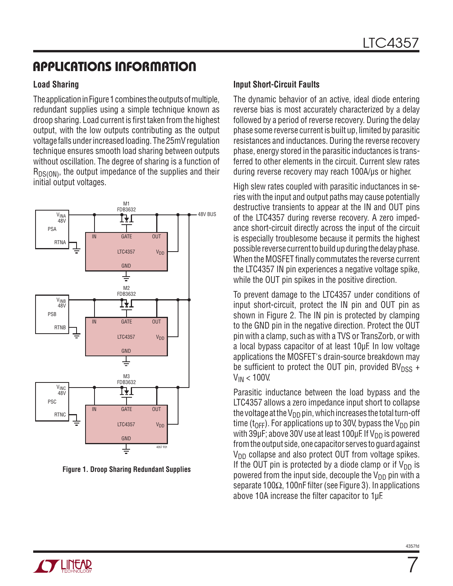## Applications Information

#### **Load Sharing**

The application in Figure 1 combines the outputs of multiple, redundant supplies using a simple technique known as droop sharing. Load current is first taken from the highest output, with the low outputs contributing as the output voltage falls under increased loading. The 25mV regulation technique ensures smooth load sharing between outputs without oscillation. The degree of sharing is a function of  $R_{DS(ON)}$ , the output impedance of the supplies and their initial output voltages.



**Figure 1. Droop Sharing Redundant Supplies**

#### **Input Short-Circuit Faults**

The dynamic behavior of an active, ideal diode entering reverse bias is most accurately characterized by a delay followed by a period of reverse recovery. During the delay phase some reverse current is built up, limited by parasitic resistances and inductances. During the reverse recovery phase, energy stored in the parasitic inductances is transferred to other elements in the circuit. Current slew rates during reverse recovery may reach 100A/µs or higher.

High slew rates coupled with parasitic inductances in series with the input and output paths may cause potentially destructive transients to appear at the IN and OUT pins of the LTC4357 during reverse recovery. A zero impedance short-circuit directly across the input of the circuit is especially troublesome because it permits the highest possible reverse current to build up during the delay phase. When the MOSFET finally commutates the reverse current the LTC4357 IN pin experiences a negative voltage spike, while the OUT pin spikes in the positive direction.

To prevent damage to the LTC4357 under conditions of input short-circuit, protect the IN pin and OUT pin as shown in Figure 2. The IN pin is protected by clamping to the GND pin in the negative direction. Protect the OUT pin with a clamp, such as with a TVS or TransZorb, or with a local bypass capacitor of at least 10µF. In low voltage applications the MOSFET's drain-source breakdown may be sufficient to protect the OUT pin, provided  $BV<sub>DSS</sub> +$  $V_{IN}$  < 100V.

Parasitic inductance between the load bypass and the LTC4357 allows a zero impedance input short to collapse the voltage at the  $V_{DD}$  pin, which increases the total turn-off time ( $t_{\text{OFF}}$ ). For applications up to 30V, bypass the V<sub>DD</sub> pin with 39 $\mu$ F; above 30V use at least 100 $\mu$ F. If V<sub>DD</sub> is powered from the output side, one capacitor serves to guard against  $V_{DD}$  collapse and also protect OUT from voltage spikes. If the OUT pin is protected by a diode clamp or if  $V_{DD}$  is powered from the input side, decouple the  $V_{DD}$  pin with a separate 100Ω, 100nF filter (see Figure 3). In applications above 10A increase the filter capacitor to 1µF.



 $\overline{7}$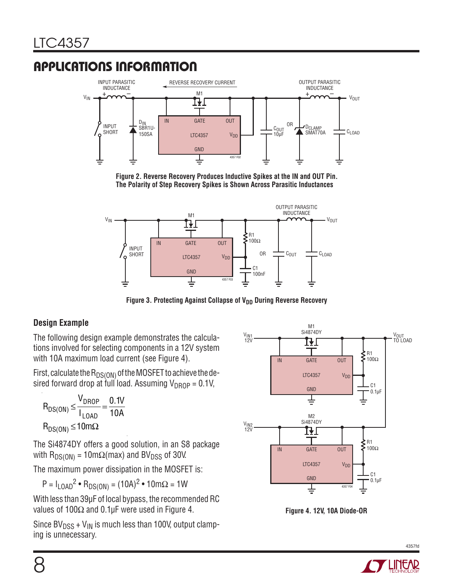## Applications Information



**Figure 2. Reverse Recovery Produces Inductive Spikes at the IN and OUT Pin. The Polarity of Step Recovery Spikes is Shown Across Parasitic Inductances**



Figure 3. Protecting Against Collapse of V<sub>DD</sub> During Reverse Recovery

#### **Design Example**

The following design example demonstrates the calculations involved for selecting components in a 12V system with 10A maximum load current (see Figure 4).

First, calculate the  $R_{DS(ON)}$  of the MOSFET to achieve the desired forward drop at full load. Assuming  $V_{DROP} = 0.1V$ ,

$$
R_{DS(ON)} \leq \frac{V_{DROP}}{I_{LOAD}} = \frac{0.1V}{10A}
$$

$$
R_{DS(ON)} \leq 10m\Omega
$$

The Si4874DY offers a good solution, in an S8 package with  $R_{DS(ON)} = 10 \text{m}\Omega(\text{max})$  and BV<sub>DSS</sub> of 30V.

The maximum power dissipation in the MOSFET is:

 $P = I_{LOAD}^2 \cdot R_{DS(ON)} = (10A)^2 \cdot 10m\Omega = 1W$ 

With less than 39µF of local bypass, the recommended RC values of 100 $\Omega$  and 0.1µF were used in Figure 4.

Since  $BV<sub>DSS</sub> + V<sub>IN</sub>$  is much less than 100V, output clamping is unnecessary.



**Figure 4. 12V, 10A Diode-OR**



4357fd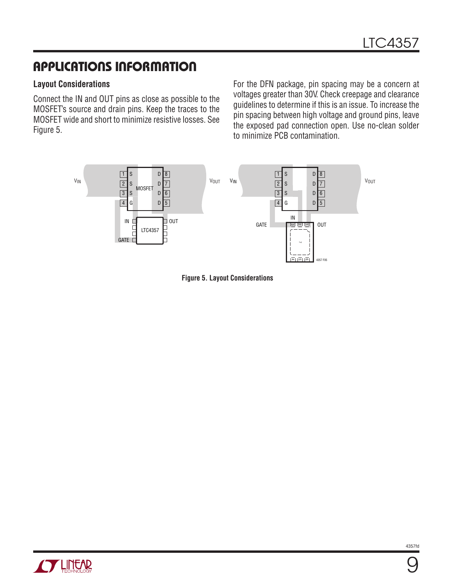## Applications Information

#### **Layout Considerations**

Connect the IN and OUT pins as close as possible to the MOSFET's source and drain pins. Keep the traces to the MOSFET wide and short to minimize resistive losses. See Figure 5.

For the DFN package, pin spacing may be a concern at voltages greater than 30V. Check creepage and clearance guidelines to determine if this is an issue. To increase the pin spacing between high voltage and ground pins, leave the exposed pad connection open. Use no-clean solder to minimize PCB contamination.







9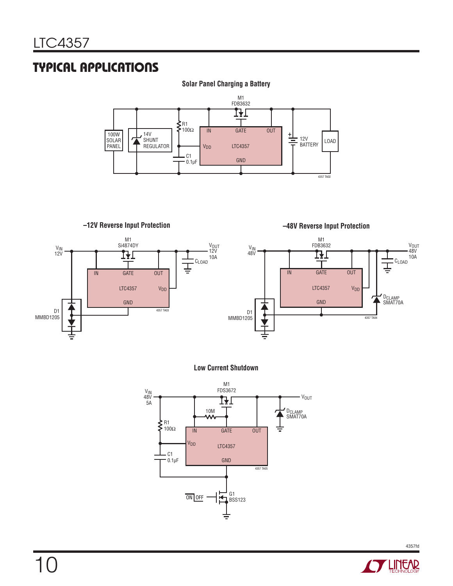#### Typical Applications

#### **Solar Panel Charging a Battery**



**–12V Reverse Input Protection –48V Reverse Input Protection** M1 M1 V<sub>OUT</sub><br>48V  $\frac{V_{IN}}{12V}$  $V_{IN}$  Si4874DY V<sub>OUT</sub><br>12V  $\frac{V_{IN}}{48V}$  $V_{IN}$  FDB3632 10A 10A CLOAD CLOAD Ţ 곻 IN OUT GATE IN OUT GATE LTC4357 V<sub>DD</sub> LTC4357 **V**<sub>DD</sub> DCLAMP SMAT70A GND GND 4357 TA03 D1 D1 MMBD1205 4357 TA04 MMBD1205







4357fd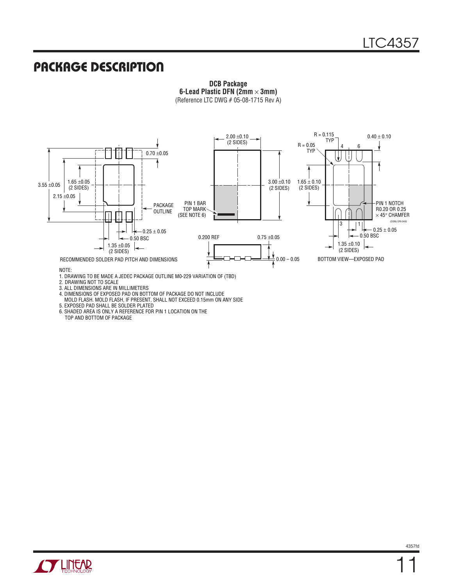#### Package Description



**DCB Package 6-Lead Plastic DFN (2mm** × **3mm)** (Reference LTC DWG # 05-08-1715 Rev A)

NOTE:

- 1. DRAWING TO BE MADE A JEDEC PACKAGE OUTLINE M0-229 VARIATION OF (TBD)
- 2. DRAWING NOT TO SCALE
- 3. ALL DIMENSIONS ARE IN MILLIMETERS
- 4. DIMENSIONS OF EXPOSED PAD ON BOTTOM OF PACKAGE DO NOT INCLUDE MOLD FLASH. MOLD FLASH, IF PRESENT, SHALL NOT EXCEED 0.15mm ON ANY SIDE
- 5. EXPOSED PAD SHALL BE SOLDER PLATED
- 6. SHADED AREA IS ONLY A REFERENCE FOR PIN 1 LOCATION ON THE TOP AND BOTTOM OF PACKAGE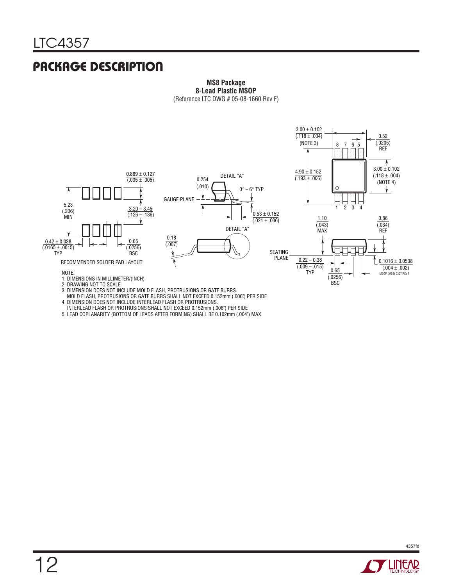#### Package Description

#### **MS8 Package 8-Lead Plastic MSOP** (Reference LTC DWG # 05-08-1660 Rev F)



3. DIMENSION DOES NOT INCLUDE MOLD FLASH, PROTRUSIONS OR GATE BURRS.

 MOLD FLASH, PROTRUSIONS OR GATE BURRS SHALL NOT EXCEED 0.152mm (.006") PER SIDE 4. DIMENSION DOES NOT INCLUDE INTERLEAD FLASH OR PROTRUSIONS.

INTERLEAD FLASH OR PROTRUSIONS SHALL NOT EXCEED 0.152mm (.006") PER SIDE

5. LEAD COPLANARITY (BOTTOM OF LEADS AFTER FORMING) SHALL BE 0.102mm (.004") MAX

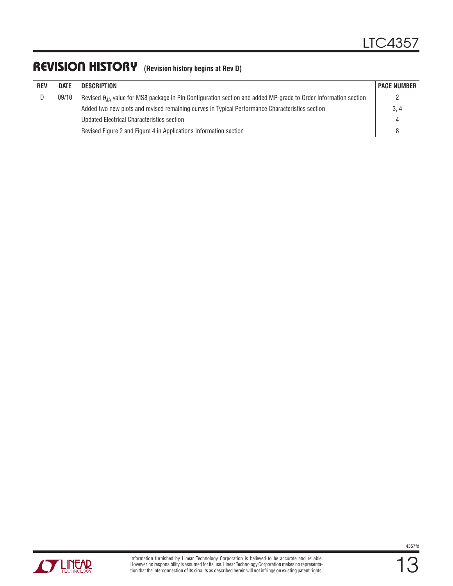#### REVISION HISTORY (Revision history begins at Rev D)

| <b>REV</b> | <b>DATE</b> | <b>DESCRIPTION</b>                                                                                                       | <b>PAGE NUMBER</b> |
|------------|-------------|--------------------------------------------------------------------------------------------------------------------------|--------------------|
| ŋ.         | 09/10       | Revised $\theta_{JA}$ value for MS8 package in Pin Configuration section and added MP-grade to Order Information section |                    |
|            |             | Added two new plots and revised remaining curves in Typical Performance Characteristics section                          | 3, 4               |
|            |             | Updated Electrical Characteristics section                                                                               | 4                  |
|            |             | Revised Figure 2 and Figure 4 in Applications Information section                                                        |                    |

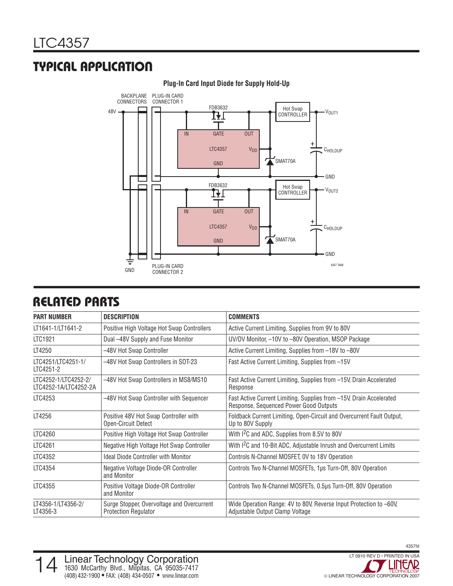## Typical Application



#### **Plug-In Card Input Diode for Supply Hold-Up**

#### Related Parts

| <b>PART NUMBER</b>                            | <b>DESCRIPTION</b>                                                        | <b>COMMENTS</b>                                                                                               |
|-----------------------------------------------|---------------------------------------------------------------------------|---------------------------------------------------------------------------------------------------------------|
| LT1641-1/LT1641-2                             | Positive High Voltage Hot Swap Controllers                                | Active Current Limiting, Supplies from 9V to 80V                                                              |
| LTC1921                                       | Dual -48V Supply and Fuse Monitor                                         | UV/OV Monitor, -10V to -80V Operation, MSOP Package                                                           |
| LT4250                                        | -48V Hot Swap Controller                                                  | Active Current Limiting, Supplies from -18V to -80V                                                           |
| LTC4251/LTC4251-1/<br>LTC4251-2               | -48V Hot Swap Controllers in SOT-23                                       | Fast Active Current Limiting, Supplies from -15V                                                              |
| LTC4252-1/LTC4252-2/<br>LTC4252-1A/LTC4252-2A | -48V Hot Swap Controllers in MS8/MS10                                     | Fast Active Current Limiting, Supplies from -15V, Drain Accelerated<br>Response                               |
| LTC4253                                       | -48V Hot Swap Controller with Sequencer                                   | Fast Active Current Limiting, Supplies from -15V, Drain Accelerated<br>Response, Sequenced Power Good Outputs |
| LT4256                                        | Positive 48V Hot Swap Controller with<br>Open-Circuit Detect              | Foldback Current Limiting, Open-Circuit and Overcurrent Fault Output,<br>Up to 80V Supply                     |
| LTC4260                                       | Positive High Voltage Hot Swap Controller                                 | With I <sup>2</sup> C and ADC, Supplies from 8.5V to 80V                                                      |
| LTC4261                                       | Negative High Voltage Hot Swap Controller                                 | With I <sup>2</sup> C and 10-Bit ADC, Adjustable Inrush and Overcurrent Limits                                |
| LTC4352                                       | <b>Ideal Diode Controller with Monitor</b>                                | Controls N-Channel MOSFET, OV to 18V Operation                                                                |
| LTC4354                                       | Negative Voltage Diode-OR Controller<br>and Monitor                       | Controls Two N-Channel MOSFETs, 1µs Turn-Off, 80V Operation                                                   |
| LTC4355                                       | Positive Voltage Diode-OR Controller<br>and Monitor                       | Controls Two N-Channel MOSFETs, 0.5µs Turn-Off, 80V Operation                                                 |
| LT4356-1/LT4356-2/<br>LT4356-3                | Surge Stopper, Overvoltage and Overcurrent<br><b>Protection Regulator</b> | Wide Operation Range: 4V to 80V, Reverse Input Protection to -60V,<br>Adjustable Output Clamp Voltage         |